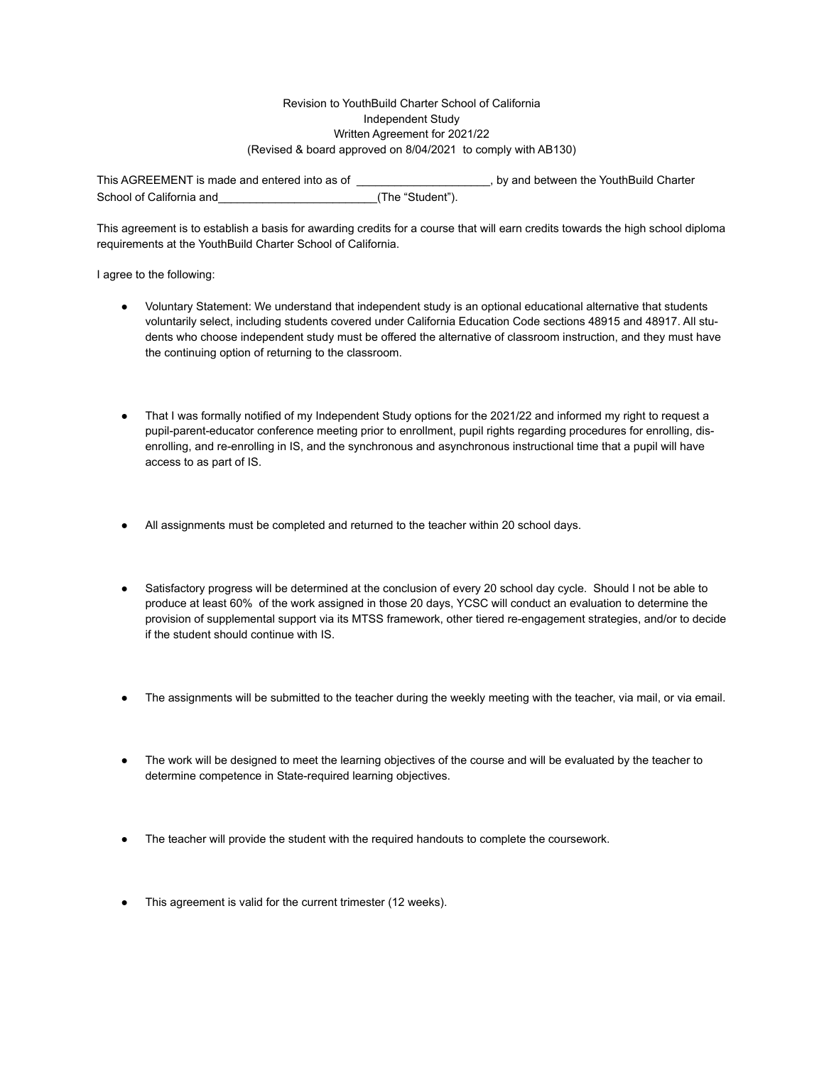## Revision to YouthBuild Charter School of California Independent Study Written Agreement for 2021/22 (Revised & board approved on 8/04/2021 to comply with AB130)

This AGREEMENT is made and entered into as of  $\blacksquare$ , by and between the YouthBuild Charter School of California and  $(The "Student").$ 

This agreement is to establish a basis for awarding credits for a course that will earn credits towards the high school diploma requirements at the YouthBuild Charter School of California.

I agree to the following:

- Voluntary Statement: We understand that independent study is an optional educational alternative that students voluntarily select, including students covered under California Education Code sections 48915 and 48917. All students who choose independent study must be offered the alternative of classroom instruction, and they must have the continuing option of returning to the classroom.
- That I was formally notified of my Independent Study options for the 2021/22 and informed my right to request a pupil-parent-educator conference meeting prior to enrollment, pupil rights regarding procedures for enrolling, disenrolling, and re-enrolling in IS, and the synchronous and asynchronous instructional time that a pupil will have access to as part of IS.
- All assignments must be completed and returned to the teacher within 20 school days.
- Satisfactory progress will be determined at the conclusion of every 20 school day cycle. Should I not be able to produce at least 60% of the work assigned in those 20 days, YCSC will conduct an evaluation to determine the provision of supplemental support via its MTSS framework, other tiered re-engagement strategies, and/or to decide if the student should continue with IS.
- The assignments will be submitted to the teacher during the weekly meeting with the teacher, via mail, or via email.
- The work will be designed to meet the learning objectives of the course and will be evaluated by the teacher to determine competence in State-required learning objectives.
- The teacher will provide the student with the required handouts to complete the coursework.
- This agreement is valid for the current trimester (12 weeks).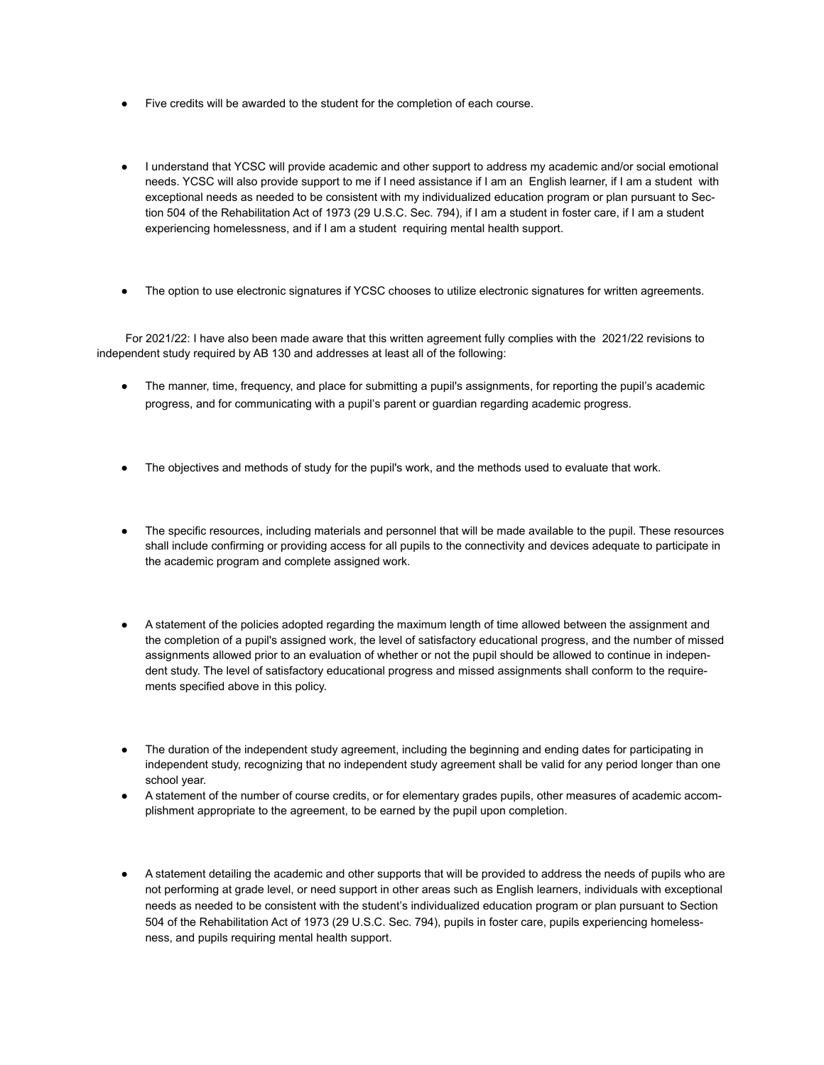- Five credits will be awarded to the student for the completion of each course.
- I understand that YCSC will provide academic and other support to address my academic and/or social emotional needs. YCSC will also provide support to me if I need assistance if I am an English learner, if I am a student with exceptional needs as needed to be consistent with my individualized education program or plan pursuant to Section 504 of the Rehabilitation Act of 1973 (29 U.S.C. Sec. 794), if I am a student in foster care, if I am a student experiencing homelessness, and if I am a student requiring mental health support.
- The option to use electronic signatures if YCSC chooses to utilize electronic signatures for written agreements.

 For 2021/22: I have also been made aware that this written agreement fully complies with the 2021/22 revisions to independent study required by AB 130 and addresses at least all of the following:

- The manner, time, frequency, and place for submitting a pupil's assignments, for reporting the pupil's academic progress, and for communicating with a pupil's parent or guardian regarding academic progress.
- The objectives and methods of study for the pupil's work, and the methods used to evaluate that work.
- The specific resources, including materials and personnel that will be made available to the pupil. These resources shall include confirming or providing access for all pupils to the connectivity and devices adequate to participate in the academic program and complete assigned work.
- A statement of the policies adopted regarding the maximum length of time allowed between the assignment and the completion of a pupil's assigned work, the level of satisfactory educational progress, and the number of missed assignments allowed prior to an evaluation of whether or not the pupil should be allowed to continue in independent study. The level of satisfactory educational progress and missed assignments shall conform to the requirements specified above in this policy.
- The duration of the independent study agreement, including the beginning and ending dates for participating in independent study, recognizing that no independent study agreement shall be valid for any period longer than one school year.
- A statement of the number of course credits, or for elementary grades pupils, other measures of academic accomplishment appropriate to the agreement, to be earned by the pupil upon completion.
- A statement detailing the academic and other supports that will be provided to address the needs of pupils who are not performing at grade level, or need support in other areas such as English learners, individuals with exceptional needs as needed to be consistent with the student's individualized education program or plan pursuant to Section 504 of the Rehabilitation Act of 1973 (29 U.S.C. Sec. 794), pupils in foster care, pupils experiencing homelessness, and pupils requiring mental health support.